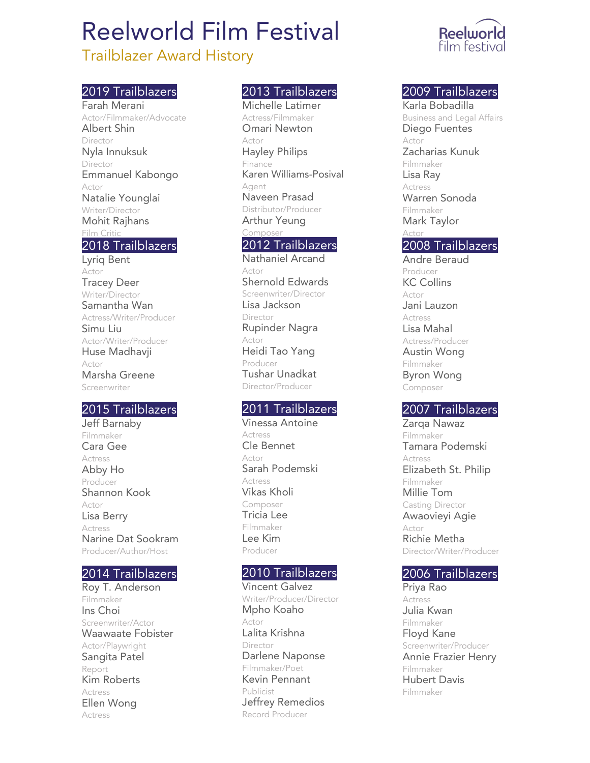# Reelworld Film Festival

# Trailblazer Award History

## 2019 Trailblazers

Farah Merani Actor/Filmmaker/Advocate Albert Shin Director Nyla Innuksuk Director Emmanuel Kabongo Actor Natalie Younglai Writer/Director Mohit Rajhans Film Critic

#### 2018 Trailblazers

Lyriq Bent Actor Tracey Deer Writer/Director Samantha Wan Actress/Writer/Producer Simu Liu Actor/Writer/Producer Huse Madhavji Actor Marsha Greene Screenwriter

#### 2015 Trailblazers

Jeff Barnaby Filmmaker Cara Gee Actress Abby Ho Producer Shannon Kook Actor Lisa Berry Actress Narine Dat Sookram Producer/Author/Host

#### 2014 Trailblazers

Roy T. Anderson Filmmaker Ins Choi Screenwriter/Actor Waawaate Fobister Actor/Playwright Sangita Patel Report Kim Roberts Actress Ellen Wong Actress

### 2013 Trailblazers

Michelle Latimer Actress/Filmmaker Omari Newton Actor Hayley Philips Finance Karen Williams-Posival Agent Naveen Prasad Distributor/Producer Arthur Yeung Composer

#### 2012 Trailblazers

Nathaniel Arcand Actor Shernold Edwards Screenwriter/Director Lisa Jackson Director Rupinder Nagra Actor Heidi Tao Yang Producer Tushar Unadkat Director/Producer

## 2011 Trailblazers

Vinessa Antoine Actress Cle Bennet Actor Sarah Podemski Actress Vikas Kholi Composer Tricia Lee Filmmaker Lee Kim Producer

#### 2010 Trailblazers

Vincent Galvez Writer/Producer/Director Mpho Koaho Actor Lalita Krishna Director Darlene Naponse Filmmaker/Poet Kevin Pennant Publicist Jeffrey Remedios Record Producer



#### 2009 Trailblazers

Karla Bobadilla Business and Legal Affairs Diego Fuentes Actor Zacharias Kunuk Filmmaker Lisa Ray Actress Warren Sonoda Filmmaker Mark Taylor Actor 2008 Trailblazers Andre Beraud

Producer KC Collins Actor Jani Lauzon Actress Lisa Mahal Actress/Producer Austin Wong Filmmaker Byron Wong Composer

## 2007 Trailblazers

Zarqa Nawaz Filmmaker Tamara Podemski Actress Elizabeth St. Philip Filmmaker Millie Tom Casting Director Awaovieyi Agie Actor Richie Metha Director/Writer/Producer

#### 2006 Trailblazers

Priya Rao Actress Julia Kwan Filmmaker Floyd Kane Screenwriter/Producer Annie Frazier Henry Filmmaker Hubert Davis Filmmaker